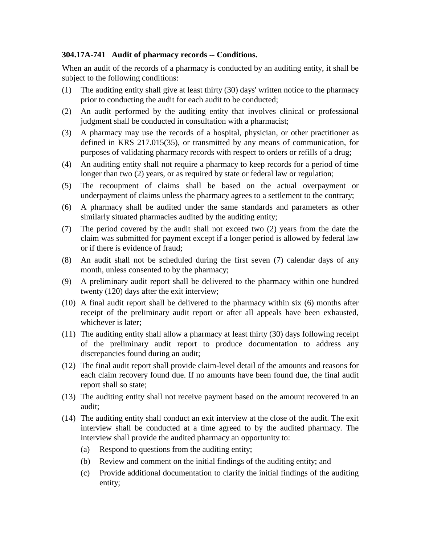## **304.17A-741 Audit of pharmacy records -- Conditions.**

When an audit of the records of a pharmacy is conducted by an auditing entity, it shall be subject to the following conditions:

- (1) The auditing entity shall give at least thirty (30) days' written notice to the pharmacy prior to conducting the audit for each audit to be conducted;
- (2) An audit performed by the auditing entity that involves clinical or professional judgment shall be conducted in consultation with a pharmacist;
- (3) A pharmacy may use the records of a hospital, physician, or other practitioner as defined in KRS 217.015(35), or transmitted by any means of communication, for purposes of validating pharmacy records with respect to orders or refills of a drug;
- (4) An auditing entity shall not require a pharmacy to keep records for a period of time longer than two (2) years, or as required by state or federal law or regulation;
- (5) The recoupment of claims shall be based on the actual overpayment or underpayment of claims unless the pharmacy agrees to a settlement to the contrary;
- (6) A pharmacy shall be audited under the same standards and parameters as other similarly situated pharmacies audited by the auditing entity;
- (7) The period covered by the audit shall not exceed two (2) years from the date the claim was submitted for payment except if a longer period is allowed by federal law or if there is evidence of fraud;
- (8) An audit shall not be scheduled during the first seven (7) calendar days of any month, unless consented to by the pharmacy;
- (9) A preliminary audit report shall be delivered to the pharmacy within one hundred twenty (120) days after the exit interview;
- (10) A final audit report shall be delivered to the pharmacy within six (6) months after receipt of the preliminary audit report or after all appeals have been exhausted, whichever is later;
- (11) The auditing entity shall allow a pharmacy at least thirty (30) days following receipt of the preliminary audit report to produce documentation to address any discrepancies found during an audit;
- (12) The final audit report shall provide claim-level detail of the amounts and reasons for each claim recovery found due. If no amounts have been found due, the final audit report shall so state;
- (13) The auditing entity shall not receive payment based on the amount recovered in an audit;
- (14) The auditing entity shall conduct an exit interview at the close of the audit. The exit interview shall be conducted at a time agreed to by the audited pharmacy. The interview shall provide the audited pharmacy an opportunity to:
	- (a) Respond to questions from the auditing entity;
	- (b) Review and comment on the initial findings of the auditing entity; and
	- (c) Provide additional documentation to clarify the initial findings of the auditing entity;